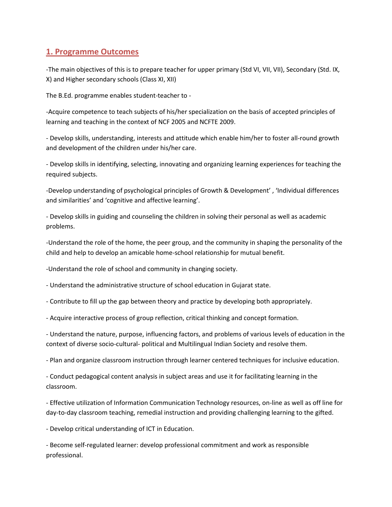## **1. Programme Outcomes**

-The main objectives of this is to prepare teacher for upper primary (Std VI, VII, VII), Secondary (Std. IX, X) and Higher secondary schools (Class XI, XII)

The B.Ed. programme enables student-teacher to -

-Acquire competence to teach subjects of his/her specialization on the basis of accepted principles of learning and teaching in the context of NCF 2005 and NCFTE 2009.

- Develop skills, understanding, interests and attitude which enable him/her to foster all-round growth and development of the children under his/her care.

- Develop skills in identifying, selecting, innovating and organizing learning experiences for teaching the required subjects.

-Develop understanding of psychological principles of Growth & Development' , 'Individual differences and similarities' and 'cognitive and affective learning'.

- Develop skills in guiding and counseling the children in solving their personal as well as academic problems.

-Understand the role of the home, the peer group, and the community in shaping the personality of the child and help to develop an amicable home-school relationship for mutual benefit.

-Understand the role of school and community in changing society.

- Understand the administrative structure of school education in Gujarat state.

- Contribute to fill up the gap between theory and practice by developing both appropriately.

- Acquire interactive process of group reflection, critical thinking and concept formation.

- Understand the nature, purpose, influencing factors, and problems of various levels of education in the context of diverse socio-cultural- political and Multilingual Indian Society and resolve them.

- Plan and organize classroom instruction through learner centered techniques for inclusive education.

- Conduct pedagogical content analysis in subject areas and use it for facilitating learning in the classroom.

- Effective utilization of Information Communication Technology resources, on-line as well as off line for day-to-day classroom teaching, remedial instruction and providing challenging learning to the gifted.

- Develop critical understanding of ICT in Education.

- Become self-regulated learner: develop professional commitment and work as responsible professional.